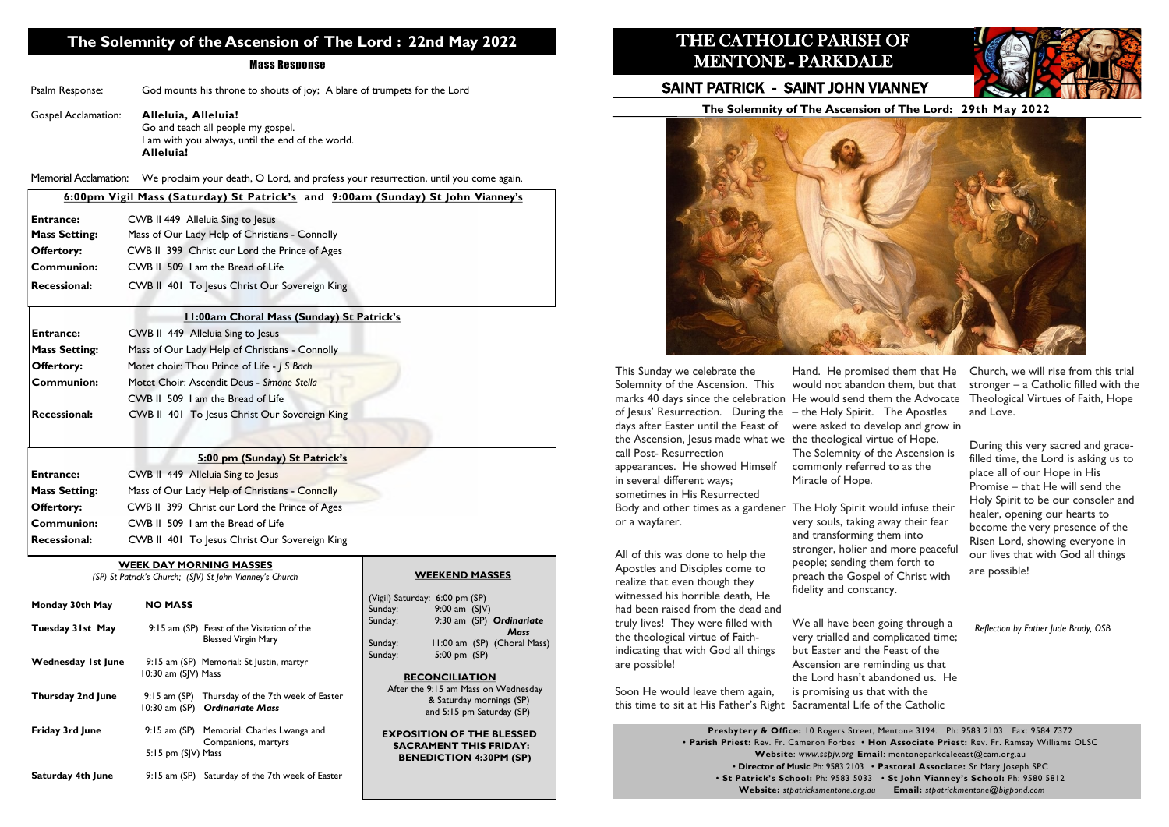# **The Solemnity of the Ascension of The Lord : 22nd May 2022**

#### Mass Response

| Psalm Response: | God mounts his throne to shouts of joy; A blare of trumpets for the Lord |  |  |  |  |
|-----------------|--------------------------------------------------------------------------|--|--|--|--|
|-----------------|--------------------------------------------------------------------------|--|--|--|--|

#### Gospel Acclamation: **Alleluia, Alleluia!** Go and teach all people my gospel. I am with you always, until the end of the world. **Alleluia!**

Memorial Acclamation: We proclaim your death, O Lord, and profess your resurrection, until you come again.

#### **WEEK DAY MORNING MASSES**

*(SP) St Patrick's Church; (SJV) St John Vianney's Church*

the 9:15 am Mass on Wednesday & Saturday mornings (SP) and 5:15 pm Saturday (SP)

**SITION OF THE BLESSED** *RAMENT THIS FRIDAY:* **NEDICTION 4:30PM (SP)** 

| Monday 30th May           | <b>NO MASS</b>                                                                         | (Vigil) Satuı<br>Sunday:               |
|---------------------------|----------------------------------------------------------------------------------------|----------------------------------------|
| Tuesday 31st May          | 9:15 am (SP) Feast of the Visitation of the<br><b>Blessed Virgin Mary</b>              | Sunday:<br>Sunday:                     |
| <b>Wednesday 1st June</b> | 9:15 am (SP) Memorial: St Justin, martyr<br>10:30 am (SJV) Mass                        | Sunday:<br>R <sub>l</sub>              |
| <b>Thursday 2nd June</b>  | 9:15 am (SP) Thursday of the 7th week of Easter<br>10:30 am (SP) Ordinariate Mass      | After 1                                |
| <b>Friday 3rd June</b>    | 9:15 am (SP) Memorial: Charles Lwanga and<br>Companions, martyrs<br>5:15 pm (SJV) Mass | <b>EXPO</b><br><b>SAC</b><br><b>BE</b> |
| <b>Saturday 4th June</b>  | 9:15 am (SP) Saturday of the 7th week of Easter                                        |                                        |

#### **WEEKEND MASSES**

| (Vigil) Saturday: 6:00 pm (SP) |                 |  |                             |
|--------------------------------|-----------------|--|-----------------------------|
| Sunday:                        | 9:00 am $(S V)$ |  |                             |
| Sunday:                        |                 |  | 9:30 am (SP) Ordinariate    |
|                                |                 |  | Mass                        |
| Sunday:                        |                 |  | 11:00 am (SP) (Choral Mass) |
| Sunday:                        | 5:00 pm (SP)    |  |                             |
|                                |                 |  |                             |
| <b>RECONCILIATION</b>          |                 |  |                             |

|                      | 6:00pm Vigil Mass (Saturday) St Patrick's and 9:00am (Sunday) St John Vianney's |
|----------------------|---------------------------------------------------------------------------------|
| <b>Entrance:</b>     | CWB II 449 Alleluia Sing to Jesus                                               |
| <b>Mass Setting:</b> | Mass of Our Lady Help of Christians - Connolly                                  |
| <b>Offertory:</b>    | CWB II 399 Christ our Lord the Prince of Ages                                   |
| <b>Communion:</b>    | CWB II 509 1 am the Bread of Life                                               |
| <b>Recessional:</b>  | CWB II 401 To Jesus Christ Our Sovereign King                                   |
|                      | <b>11:00am Choral Mass (Sunday) St Patrick's</b>                                |
| <b>Entrance:</b>     | CWB II 449 Alleluia Sing to Jesus                                               |
| <b>Mass Setting:</b> | Mass of Our Lady Help of Christians - Connolly                                  |
| <b>Offertory:</b>    | Motet choir: Thou Prince of Life - J S Bach                                     |
| <b>Communion:</b>    | Motet Choir: Ascendit Deus - Simone Stella                                      |
|                      | CWB II 509 I am the Bread of Life                                               |
| <b>Recessional:</b>  | CWB II 401 To Jesus Christ Our Sovereign King                                   |
|                      | 5:00 pm (Sunday) St Patrick's                                                   |

|  | 5:00 pm (Sunday) St Patrick's |
|--|-------------------------------|
|  |                               |

| <b>Entrance:</b>     | CWB II 449 Alleluia Sing to Jesus              |
|----------------------|------------------------------------------------|
| <b>Mass Setting:</b> | Mass of Our Lady Help of Christians - Connolly |
| <b>Offertory:</b>    | CWB II 399 Christ our Lord the Prince of Ages  |
| <b>Communion:</b>    | CWB II 509 I am the Bread of Life              |
| <b>Recessional:</b>  | CWB II 401 To Jesus Christ Our Sovereign King  |

**The Solemnity of The Ascension of The Lord: 29th May 2022**



# THE CATHOLIC PARISH OF MENTONE - PARKDALE

# SAINT PATRICK - SAINT JOHN VIANNEY

**Presbytery & Office:** 10 Rogers Street, Mentone 3194. Ph: 9583 2103 Fax: 9584 7372 • **Parish Priest:** Rev. Fr. Cameron Forbes • **Hon Associate Priest:** Rev. Fr. Ramsay Williams OLSC **Website**: *www.sspjv.org* **Email**: mentoneparkdaleeast@cam.org.au • **Director of Music** Ph: 9583 2103 • **Pastoral Associate:** Sr Mary Joseph SPC • **St Patrick's School:** Ph: 9583 5033 • **St John Vianney's School:** Ph: 9580 5812 **Website:** *stpatricksmentone.org.au* **Email:** *stpatrickmentone@bigpond.com*



This Sunday we celebrate the Solemnity of the Ascension. This of Jesus' Resurrection. During the – the Holy Spirit. The Apostles days after Easter until the Feast of the Ascension, Jesus made what we the theological virtue of Hope. call Post- Resurrection appearances. He showed Himself in several different ways; sometimes in His Resurrected Body and other times as a gardener The Holy Spirit would infuse their or a wayfarer.

All of this was done to help the Apostles and Disciples come to realize that even though they witnessed his horrible death, He had been raised from the dead and truly lives! They were filled with the theological virtue of Faithindicating that with God all things are possible!

Soon He would leave them again,

marks 40 days since the celebration He would send them the Advocate Hand. He promised them that He would not abandon them, but that were asked to develop and grow in The Solemnity of the Ascension is commonly referred to as the Miracle of Hope. Church, we will rise from this trial stronger – a Catholic filled with the Theological Virtues of Faith, Hope and Love. During this very sacred and gracefilled time, the Lord is asking us to place all of our Hope in His

this time to sit at His Father's Right Sacramental Life of the Catholic We all have been going through a very trialled and complicated time; but Easter and the Feast of the Ascension are reminding us that the Lord hasn't abandoned us. He is promising us that with the

very souls, taking away their fear and transforming them into stronger, holier and more peaceful people; sending them forth to preach the Gospel of Christ with fidelity and constancy.

Promise – that He will send the Holy Spirit to be our consoler and healer, opening our hearts to become the very presence of the Risen Lord, showing everyone in our lives that with God all things are possible!

*Reflection by Father Jude Brady, OSB*